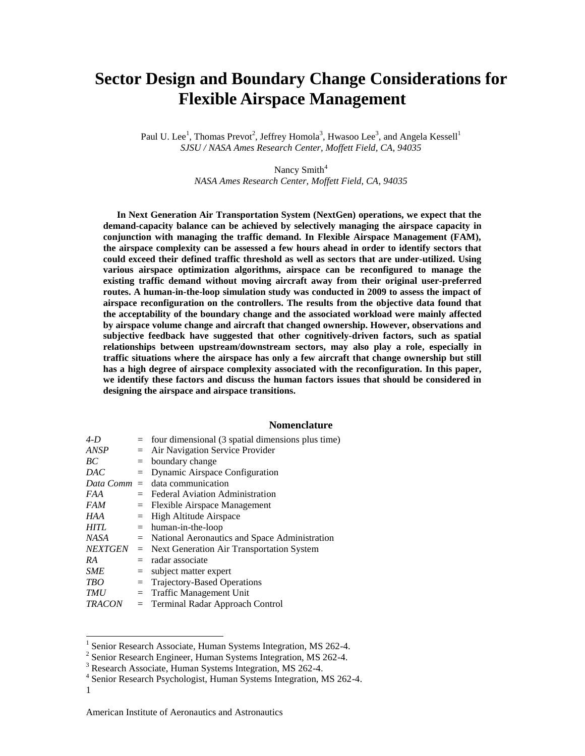# **Sector Design and Boundary Change Considerations for Flexible Airspace Management**

Paul U. Lee<sup>1</sup>, Thomas Prevot<sup>2</sup>, Jeffrey Homola<sup>3</sup>, Hwasoo Lee<sup>3</sup>, and Angela Kessell<sup>1</sup> *SJSU / NASA Ames Research Center, Moffett Field, CA, 94035*

> Nancy Smith<sup>4</sup> *NASA Ames Research Center, Moffett Field, CA, 94035*

**In Next Generation Air Transportation System (NextGen) operations, we expect that the demand-capacity balance can be achieved by selectively managing the airspace capacity in conjunction with managing the traffic demand. In Flexible Airspace Management (FAM), the airspace complexity can be assessed a few hours ahead in order to identify sectors that could exceed their defined traffic threshold as well as sectors that are under-utilized. Using various airspace optimization algorithms, airspace can be reconfigured to manage the existing traffic demand without moving aircraft away from their original user-preferred routes. A human-in-the-loop simulation study was conducted in 2009 to assess the impact of airspace reconfiguration on the controllers. The results from the objective data found that the acceptability of the boundary change and the associated workload were mainly affected by airspace volume change and aircraft that changed ownership. However, observations and subjective feedback have suggested that other cognitively-driven factors, such as spatial relationships between upstream/downstream sectors, may also play a role, especially in traffic situations where the airspace has only a few aircraft that change ownership but still has a high degree of airspace complexity associated with the reconfiguration. In this paper, we identify these factors and discuss the human factors issues that should be considered in designing the airspace and airspace transitions.**

# **Nomenclature**

| $4-D$          |     | $=$ four dimensional (3 spatial dimensions plus time) |
|----------------|-----|-------------------------------------------------------|
| ANSP           | $=$ | Air Navigation Service Provider                       |
| BС             | $=$ | boundary change                                       |
| DAC            |     | $=$ Dynamic Airspace Configuration                    |
|                |     | Data Comm $=$ data communication                      |
| FAA            |     | $=$ Federal Aviation Administration                   |
| <i>FAM</i>     |     | $=$ Flexible Airspace Management                      |
| HAA            | $=$ | High Altitude Airspace                                |
| HITL           |     | $=$ human-in-the-loop                                 |
| NASA           |     | = National Aeronautics and Space Administration       |
| <i>NEXTGEN</i> |     | $=$ Next Generation Air Transportation System         |
| RA             | $=$ | radar associate                                       |
| SME            |     | $=$ subject matter expert                             |
| TBO            |     | = Trajectory-Based Operations                         |
| <b>TMU</b>     |     | $=$ Traffic Management Unit                           |
| TRACON         |     | $=$ Terminal Radar Approach Control                   |

<sup>&</sup>lt;sup>1</sup> Senior Research Associate, Human Systems Integration, MS 262-4.

<sup>&</sup>lt;sup>2</sup> Senior Research Engineer, Human Systems Integration, MS 262-4.

<sup>3</sup> Research Associate, Human Systems Integration, MS 262-4.

<sup>4</sup> Senior Research Psychologist, Human Systems Integration, MS 262-4.

<sup>1</sup>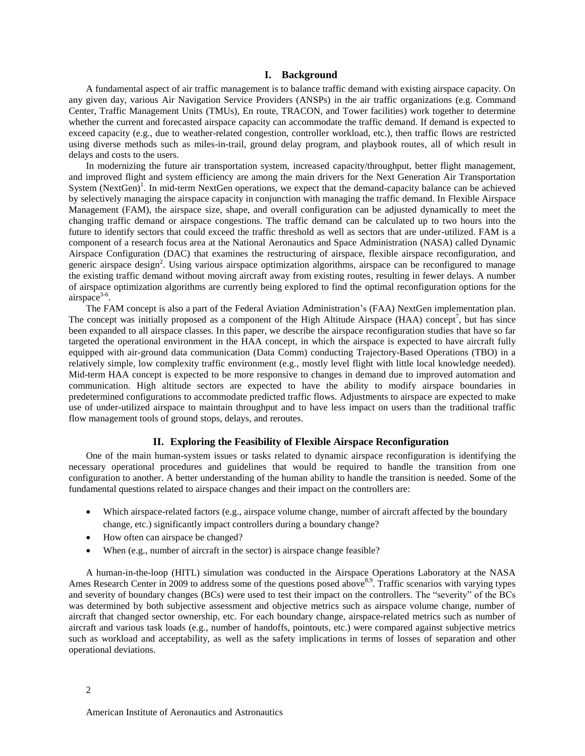# **I. Background**

A fundamental aspect of air traffic management is to balance traffic demand with existing airspace capacity. On any given day, various Air Navigation Service Providers (ANSPs) in the air traffic organizations (e.g. Command Center, Traffic Management Units (TMUs), En route, TRACON, and Tower facilities) work together to determine whether the current and forecasted airspace capacity can accommodate the traffic demand. If demand is expected to exceed capacity (e.g., due to weather-related congestion, controller workload, etc.), then traffic flows are restricted using diverse methods such as miles-in-trail, ground delay program, and playbook routes, all of which result in delays and costs to the users.

In modernizing the future air transportation system, increased capacity/throughput, better flight management, and improved flight and system efficiency are among the main drivers for the Next Generation Air Transportation System (NextGen)<sup>1</sup>. In mid-term NextGen operations, we expect that the demand-capacity balance can be achieved by selectively managing the airspace capacity in conjunction with managing the traffic demand. In Flexible Airspace Management (FAM), the airspace size, shape, and overall configuration can be adjusted dynamically to meet the changing traffic demand or airspace congestions. The traffic demand can be calculated up to two hours into the future to identify sectors that could exceed the traffic threshold as well as sectors that are under-utilized. FAM is a component of a research focus area at the National Aeronautics and Space Administration (NASA) called Dynamic Airspace Configuration (DAC) that examines the restructuring of airspace, flexible airspace reconfiguration, and generic airspace design<sup>2</sup>. Using various airspace optimization algorithms, airspace can be reconfigured to manage the existing traffic demand without moving aircraft away from existing routes, resulting in fewer delays. A number of airspace optimization algorithms are currently being explored to find the optimal reconfiguration options for the airspace<sup>3-6</sup>.

The FAM concept is also a part of the Federal Aviation Administration"s (FAA) NextGen implementation plan. The concept was initially proposed as a component of the High Altitude Airspace (HAA) concept<sup>7</sup>, but has since been expanded to all airspace classes. In this paper, we describe the airspace reconfiguration studies that have so far targeted the operational environment in the HAA concept, in which the airspace is expected to have aircraft fully equipped with air-ground data communication (Data Comm) conducting Trajectory-Based Operations (TBO) in a relatively simple, low complexity traffic environment (e.g., mostly level flight with little local knowledge needed). Mid-term HAA concept is expected to be more responsive to changes in demand due to improved automation and communication. High altitude sectors are expected to have the ability to modify airspace boundaries in predetermined configurations to accommodate predicted traffic flows. Adjustments to airspace are expected to make use of under-utilized airspace to maintain throughput and to have less impact on users than the traditional traffic flow management tools of ground stops, delays, and reroutes.

## **II. Exploring the Feasibility of Flexible Airspace Reconfiguration**

One of the main human-system issues or tasks related to dynamic airspace reconfiguration is identifying the necessary operational procedures and guidelines that would be required to handle the transition from one configuration to another. A better understanding of the human ability to handle the transition is needed. Some of the fundamental questions related to airspace changes and their impact on the controllers are:

- Which airspace-related factors (e.g., airspace volume change, number of aircraft affected by the boundary change, etc.) significantly impact controllers during a boundary change?
- How often can airspace be changed?
- When (e.g., number of aircraft in the sector) is airspace change feasible?

A human-in-the-loop (HITL) simulation was conducted in the Airspace Operations Laboratory at the NASA Ames Research Center in 2009 to address some of the questions posed above<sup>8,9</sup>. Traffic scenarios with varying types and severity of boundary changes (BCs) were used to test their impact on the controllers. The "severity" of the BCs was determined by both subjective assessment and objective metrics such as airspace volume change, number of aircraft that changed sector ownership, etc. For each boundary change, airspace-related metrics such as number of aircraft and various task loads (e.g., number of handoffs, pointouts, etc.) were compared against subjective metrics such as workload and acceptability, as well as the safety implications in terms of losses of separation and other operational deviations.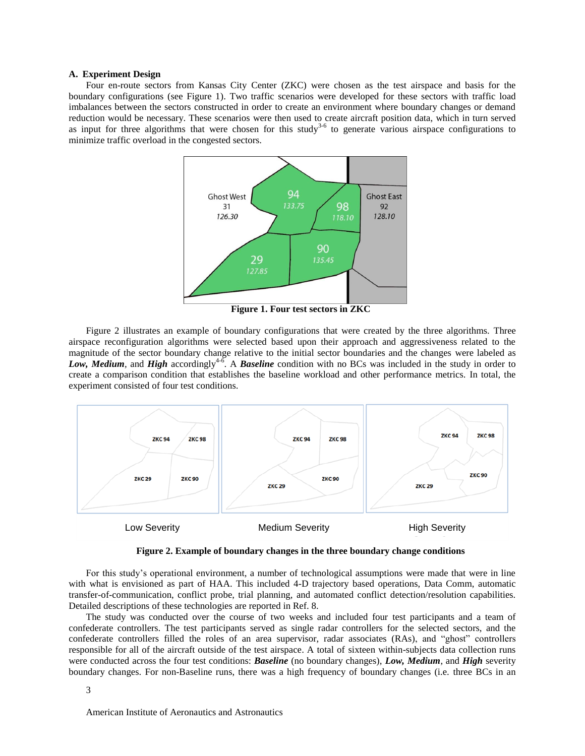## **A. Experiment Design**

Four en-route sectors from Kansas City Center (ZKC) were chosen as the test airspace and basis for the boundary configurations (see Figure 1). Two traffic scenarios were developed for these sectors with traffic load imbalances between the sectors constructed in order to create an environment where boundary changes or demand reduction would be necessary. These scenarios were then used to create aircraft position data, which in turn served as input for three algorithms that were chosen for this study<sup>3-6</sup> to generate various airspace configurations to minimize traffic overload in the congested sectors.



**Figure 1. Four test sectors in ZKC**

Figure 2 illustrates an example of boundary configurations that were created by the three algorithms. Three airspace reconfiguration algorithms were selected based upon their approach and aggressiveness related to the magnitude of the sector boundary change relative to the initial sector boundaries and the changes were labeled as Low, Medium, and High accordingly<sup>4-6</sup>. A *Baseline* condition with no BCs was included in the study in order to create a comparison condition that establishes the baseline workload and other performance metrics. In total, the experiment consisted of four test conditions.



**Figure 2. Example of boundary changes in the three boundary change conditions**

For this study"s operational environment, a number of technological assumptions were made that were in line with what is envisioned as part of HAA. This included 4-D trajectory based operations, Data Comm, automatic transfer-of-communication, conflict probe, trial planning, and automated conflict detection/resolution capabilities. Detailed descriptions of these technologies are reported in Ref. 8.

The study was conducted over the course of two weeks and included four test participants and a team of confederate controllers. The test participants served as single radar controllers for the selected sectors, and the confederate controllers filled the roles of an area supervisor, radar associates (RAs), and "ghost" controllers responsible for all of the aircraft outside of the test airspace. A total of sixteen within-subjects data collection runs were conducted across the four test conditions: *Baseline* (no boundary changes), *Low, Medium*, and *High* severity boundary changes. For non-Baseline runs, there was a high frequency of boundary changes (i.e. three BCs in an

3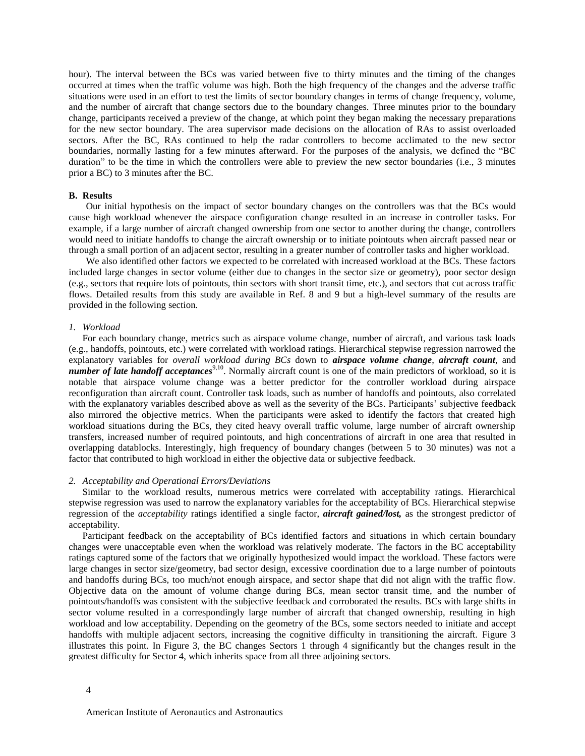hour). The interval between the BCs was varied between five to thirty minutes and the timing of the changes occurred at times when the traffic volume was high. Both the high frequency of the changes and the adverse traffic situations were used in an effort to test the limits of sector boundary changes in terms of change frequency, volume, and the number of aircraft that change sectors due to the boundary changes. Three minutes prior to the boundary change, participants received a preview of the change, at which point they began making the necessary preparations for the new sector boundary. The area supervisor made decisions on the allocation of RAs to assist overloaded sectors. After the BC, RAs continued to help the radar controllers to become acclimated to the new sector boundaries, normally lasting for a few minutes afterward. For the purposes of the analysis, we defined the "BC duration" to be the time in which the controllers were able to preview the new sector boundaries (i.e., 3 minutes prior a BC) to 3 minutes after the BC.

#### **B. Results**

Our initial hypothesis on the impact of sector boundary changes on the controllers was that the BCs would cause high workload whenever the airspace configuration change resulted in an increase in controller tasks. For example, if a large number of aircraft changed ownership from one sector to another during the change, controllers would need to initiate handoffs to change the aircraft ownership or to initiate pointouts when aircraft passed near or through a small portion of an adjacent sector, resulting in a greater number of controller tasks and higher workload.

We also identified other factors we expected to be correlated with increased workload at the BCs. These factors included large changes in sector volume (either due to changes in the sector size or geometry), poor sector design (e.g., sectors that require lots of pointouts, thin sectors with short transit time, etc.), and sectors that cut across traffic flows. Detailed results from this study are available in Ref. 8 and 9 but a high-level summary of the results are provided in the following section.

#### *1. Workload*

For each boundary change, metrics such as airspace volume change, number of aircraft, and various task loads (e.g., handoffs, pointouts, etc.) were correlated with workload ratings. Hierarchical stepwise regression narrowed the explanatory variables for *overall workload during BCs* down to *airspace volume change*, *aircraft count*, and *number of late handoff acceptances*<sup>9,10</sup>. Normally aircraft count is one of the main predictors of workload, so it is notable that airspace volume change was a better predictor for the controller workload during airspace reconfiguration than aircraft count. Controller task loads, such as number of handoffs and pointouts, also correlated with the explanatory variables described above as well as the severity of the BCs. Participants' subjective feedback also mirrored the objective metrics. When the participants were asked to identify the factors that created high workload situations during the BCs, they cited heavy overall traffic volume, large number of aircraft ownership transfers, increased number of required pointouts, and high concentrations of aircraft in one area that resulted in overlapping datablocks. Interestingly, high frequency of boundary changes (between 5 to 30 minutes) was not a factor that contributed to high workload in either the objective data or subjective feedback.

## *2. Acceptability and Operational Errors/Deviations*

Similar to the workload results, numerous metrics were correlated with acceptability ratings. Hierarchical stepwise regression was used to narrow the explanatory variables for the acceptability of BCs. Hierarchical stepwise regression of the *acceptability* ratings identified a single factor, *aircraft gained/lost,* as the strongest predictor of acceptability.

Participant feedback on the acceptability of BCs identified factors and situations in which certain boundary changes were unacceptable even when the workload was relatively moderate. The factors in the BC acceptability ratings captured some of the factors that we originally hypothesized would impact the workload. These factors were large changes in sector size/geometry, bad sector design, excessive coordination due to a large number of pointouts and handoffs during BCs, too much/not enough airspace, and sector shape that did not align with the traffic flow. Objective data on the amount of volume change during BCs, mean sector transit time, and the number of pointouts/handoffs was consistent with the subjective feedback and corroborated the results. BCs with large shifts in sector volume resulted in a correspondingly large number of aircraft that changed ownership, resulting in high workload and low acceptability. Depending on the geometry of the BCs, some sectors needed to initiate and accept handoffs with multiple adjacent sectors, increasing the cognitive difficulty in transitioning the aircraft. Figure 3 illustrates this point. In Figure 3, the BC changes Sectors 1 through 4 significantly but the changes result in the greatest difficulty for Sector 4, which inherits space from all three adjoining sectors.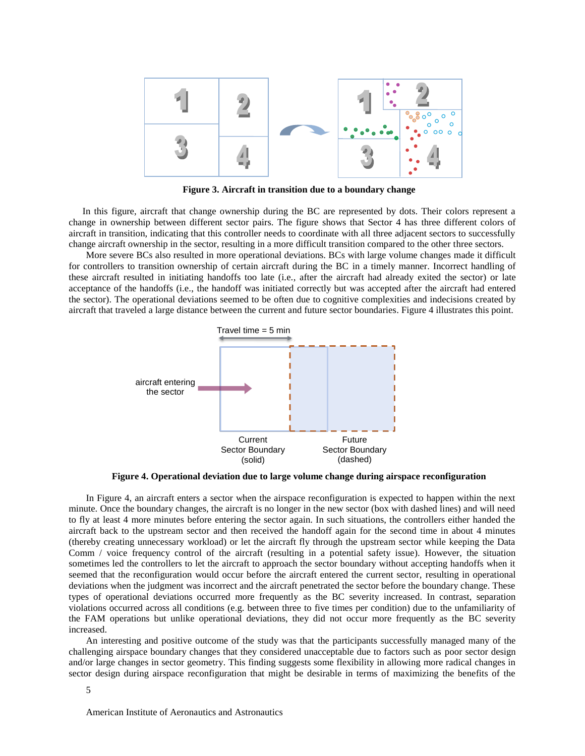

**Figure 3. Aircraft in transition due to a boundary change**

In this figure, aircraft that change ownership during the BC are represented by dots. Their colors represent a change in ownership between different sector pairs. The figure shows that Sector 4 has three different colors of aircraft in transition, indicating that this controller needs to coordinate with all three adjacent sectors to successfully change aircraft ownership in the sector, resulting in a more difficult transition compared to the other three sectors.

More severe BCs also resulted in more operational deviations. BCs with large volume changes made it difficult for controllers to transition ownership of certain aircraft during the BC in a timely manner. Incorrect handling of these aircraft resulted in initiating handoffs too late (i.e., after the aircraft had already exited the sector) or late acceptance of the handoffs (i.e., the handoff was initiated correctly but was accepted after the aircraft had entered the sector). The operational deviations seemed to be often due to cognitive complexities and indecisions created by aircraft that traveled a large distance between the current and future sector boundaries. Figure 4 illustrates this point.



**Figure 4. Operational deviation due to large volume change during airspace reconfiguration**

In Figure 4, an aircraft enters a sector when the airspace reconfiguration is expected to happen within the next minute. Once the boundary changes, the aircraft is no longer in the new sector (box with dashed lines) and will need to fly at least 4 more minutes before entering the sector again. In such situations, the controllers either handed the aircraft back to the upstream sector and then received the handoff again for the second time in about 4 minutes (thereby creating unnecessary workload) or let the aircraft fly through the upstream sector while keeping the Data Comm / voice frequency control of the aircraft (resulting in a potential safety issue). However, the situation sometimes led the controllers to let the aircraft to approach the sector boundary without accepting handoffs when it seemed that the reconfiguration would occur before the aircraft entered the current sector, resulting in operational deviations when the judgment was incorrect and the aircraft penetrated the sector before the boundary change. These types of operational deviations occurred more frequently as the BC severity increased. In contrast, separation violations occurred across all conditions (e.g. between three to five times per condition) due to the unfamiliarity of the FAM operations but unlike operational deviations, they did not occur more frequently as the BC severity increased.

An interesting and positive outcome of the study was that the participants successfully managed many of the challenging airspace boundary changes that they considered unacceptable due to factors such as poor sector design and/or large changes in sector geometry. This finding suggests some flexibility in allowing more radical changes in sector design during airspace reconfiguration that might be desirable in terms of maximizing the benefits of the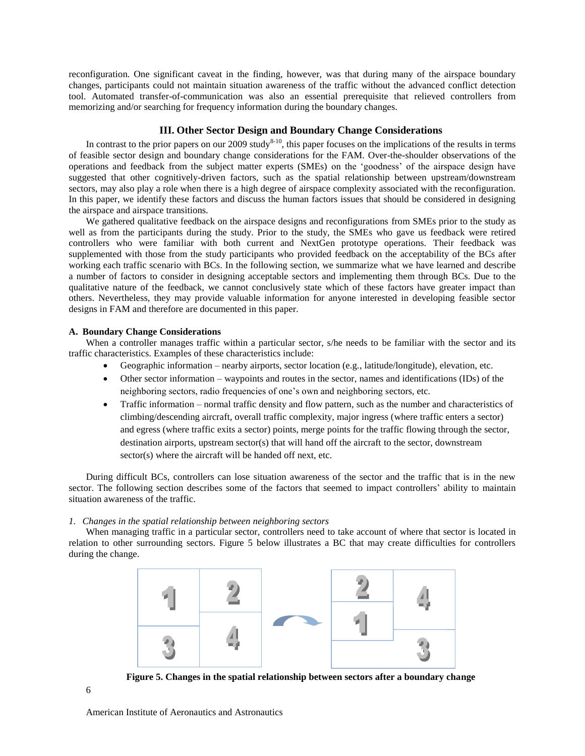reconfiguration. One significant caveat in the finding, however, was that during many of the airspace boundary changes, participants could not maintain situation awareness of the traffic without the advanced conflict detection tool. Automated transfer-of-communication was also an essential prerequisite that relieved controllers from memorizing and/or searching for frequency information during the boundary changes.

# **III. Other Sector Design and Boundary Change Considerations**

In contrast to the prior papers on our 2009 study<sup>8-10</sup>, this paper focuses on the implications of the results in terms of feasible sector design and boundary change considerations for the FAM. Over-the-shoulder observations of the operations and feedback from the subject matter experts (SMEs) on the "goodness" of the airspace design have suggested that other cognitively-driven factors, such as the spatial relationship between upstream/downstream sectors, may also play a role when there is a high degree of airspace complexity associated with the reconfiguration. In this paper, we identify these factors and discuss the human factors issues that should be considered in designing the airspace and airspace transitions.

We gathered qualitative feedback on the airspace designs and reconfigurations from SMEs prior to the study as well as from the participants during the study. Prior to the study, the SMEs who gave us feedback were retired controllers who were familiar with both current and NextGen prototype operations. Their feedback was supplemented with those from the study participants who provided feedback on the acceptability of the BCs after working each traffic scenario with BCs. In the following section, we summarize what we have learned and describe a number of factors to consider in designing acceptable sectors and implementing them through BCs. Due to the qualitative nature of the feedback, we cannot conclusively state which of these factors have greater impact than others. Nevertheless, they may provide valuable information for anyone interested in developing feasible sector designs in FAM and therefore are documented in this paper.

# **A. Boundary Change Considerations**

When a controller manages traffic within a particular sector, s/he needs to be familiar with the sector and its traffic characteristics. Examples of these characteristics include:

- Geographic information nearby airports, sector location (e.g., latitude/longitude), elevation, etc.
- Other sector information waypoints and routes in the sector, names and identifications (IDs) of the neighboring sectors, radio frequencies of one"s own and neighboring sectors, etc.
- Traffic information normal traffic density and flow pattern, such as the number and characteristics of climbing/descending aircraft, overall traffic complexity, major ingress (where traffic enters a sector) and egress (where traffic exits a sector) points, merge points for the traffic flowing through the sector, destination airports, upstream sector(s) that will hand off the aircraft to the sector, downstream sector(s) where the aircraft will be handed off next, etc.

During difficult BCs, controllers can lose situation awareness of the sector and the traffic that is in the new sector. The following section describes some of the factors that seemed to impact controllers' ability to maintain situation awareness of the traffic.

### *1. Changes in the spatial relationship between neighboring sectors*

When managing traffic in a particular sector, controllers need to take account of where that sector is located in relation to other surrounding sectors. Figure 5 below illustrates a BC that may create difficulties for controllers during the change.



**Figure 5. Changes in the spatial relationship between sectors after a boundary change**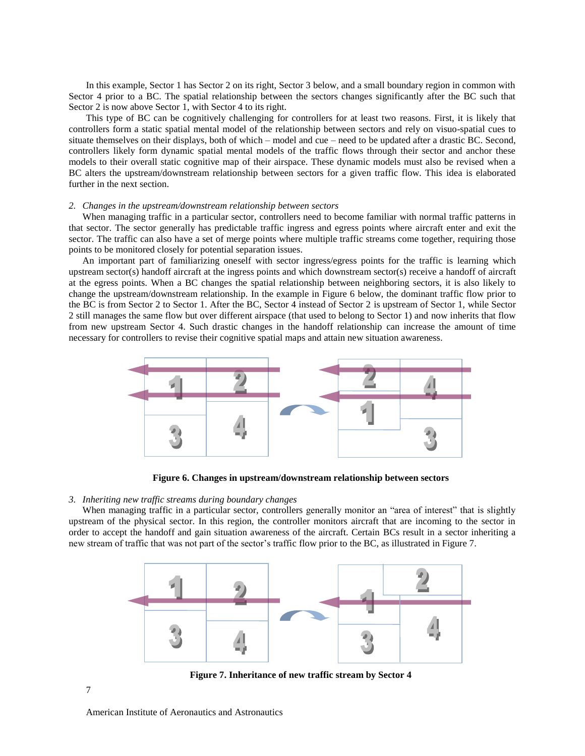In this example, Sector 1 has Sector 2 on its right, Sector 3 below, and a small boundary region in common with Sector 4 prior to a BC. The spatial relationship between the sectors changes significantly after the BC such that Sector 2 is now above Sector 1, with Sector 4 to its right.

This type of BC can be cognitively challenging for controllers for at least two reasons. First, it is likely that controllers form a static spatial mental model of the relationship between sectors and rely on visuo-spatial cues to situate themselves on their displays, both of which – model and cue – need to be updated after a drastic BC. Second, controllers likely form dynamic spatial mental models of the traffic flows through their sector and anchor these models to their overall static cognitive map of their airspace. These dynamic models must also be revised when a BC alters the upstream/downstream relationship between sectors for a given traffic flow. This idea is elaborated further in the next section.

## *2. Changes in the upstream/downstream relationship between sectors*

When managing traffic in a particular sector, controllers need to become familiar with normal traffic patterns in that sector. The sector generally has predictable traffic ingress and egress points where aircraft enter and exit the sector. The traffic can also have a set of merge points where multiple traffic streams come together, requiring those points to be monitored closely for potential separation issues.

An important part of familiarizing oneself with sector ingress/egress points for the traffic is learning which upstream sector(s) handoff aircraft at the ingress points and which downstream sector(s) receive a handoff of aircraft at the egress points. When a BC changes the spatial relationship between neighboring sectors, it is also likely to change the upstream/downstream relationship. In the example in Figure 6 below, the dominant traffic flow prior to the BC is from Sector 2 to Sector 1. After the BC, Sector 4 instead of Sector 2 is upstream of Sector 1, while Sector 2 still manages the same flow but over different airspace (that used to belong to Sector 1) and now inherits that flow from new upstream Sector 4. Such drastic changes in the handoff relationship can increase the amount of time necessary for controllers to revise their cognitive spatial maps and attain new situation awareness.



**Figure 6. Changes in upstream/downstream relationship between sectors**

# *3. Inheriting new traffic streams during boundary changes*

When managing traffic in a particular sector, controllers generally monitor an "area of interest" that is slightly upstream of the physical sector. In this region, the controller monitors aircraft that are incoming to the sector in order to accept the handoff and gain situation awareness of the aircraft. Certain BCs result in a sector inheriting a new stream of traffic that was not part of the sector's traffic flow prior to the BC, as illustrated in Figure 7.



**Figure 7. Inheritance of new traffic stream by Sector 4**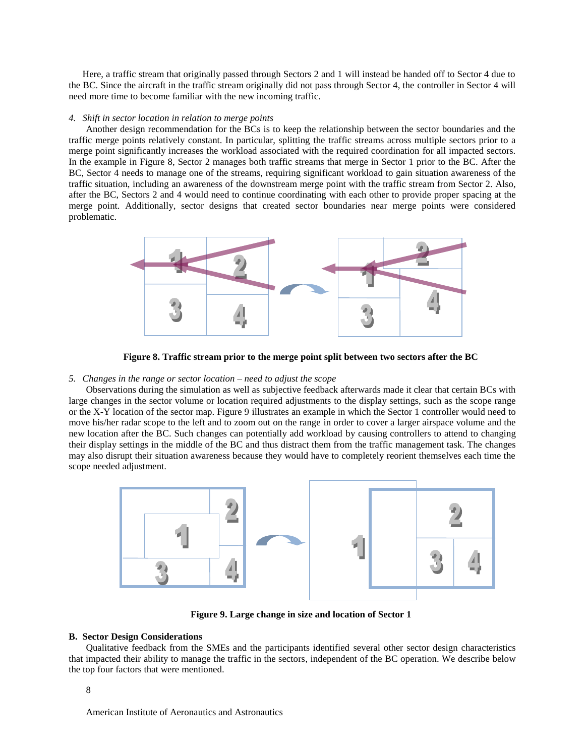Here, a traffic stream that originally passed through Sectors 2 and 1 will instead be handed off to Sector 4 due to the BC. Since the aircraft in the traffic stream originally did not pass through Sector 4, the controller in Sector 4 will need more time to become familiar with the new incoming traffic.

### *4. Shift in sector location in relation to merge points*

Another design recommendation for the BCs is to keep the relationship between the sector boundaries and the traffic merge points relatively constant. In particular, splitting the traffic streams across multiple sectors prior to a merge point significantly increases the workload associated with the required coordination for all impacted sectors. In the example in Figure 8, Sector 2 manages both traffic streams that merge in Sector 1 prior to the BC. After the BC, Sector 4 needs to manage one of the streams, requiring significant workload to gain situation awareness of the traffic situation, including an awareness of the downstream merge point with the traffic stream from Sector 2. Also, after the BC, Sectors 2 and 4 would need to continue coordinating with each other to provide proper spacing at the merge point. Additionally, sector designs that created sector boundaries near merge points were considered problematic.



**Figure 8. Traffic stream prior to the merge point split between two sectors after the BC**

# *5. Changes in the range or sector location – need to adjust the scope*

Observations during the simulation as well as subjective feedback afterwards made it clear that certain BCs with large changes in the sector volume or location required adjustments to the display settings, such as the scope range or the X-Y location of the sector map. Figure 9 illustrates an example in which the Sector 1 controller would need to move his/her radar scope to the left and to zoom out on the range in order to cover a larger airspace volume and the new location after the BC. Such changes can potentially add workload by causing controllers to attend to changing their display settings in the middle of the BC and thus distract them from the traffic management task. The changes may also disrupt their situation awareness because they would have to completely reorient themselves each time the scope needed adjustment.



**Figure 9. Large change in size and location of Sector 1**

#### **B. Sector Design Considerations**

Qualitative feedback from the SMEs and the participants identified several other sector design characteristics that impacted their ability to manage the traffic in the sectors, independent of the BC operation. We describe below the top four factors that were mentioned.

8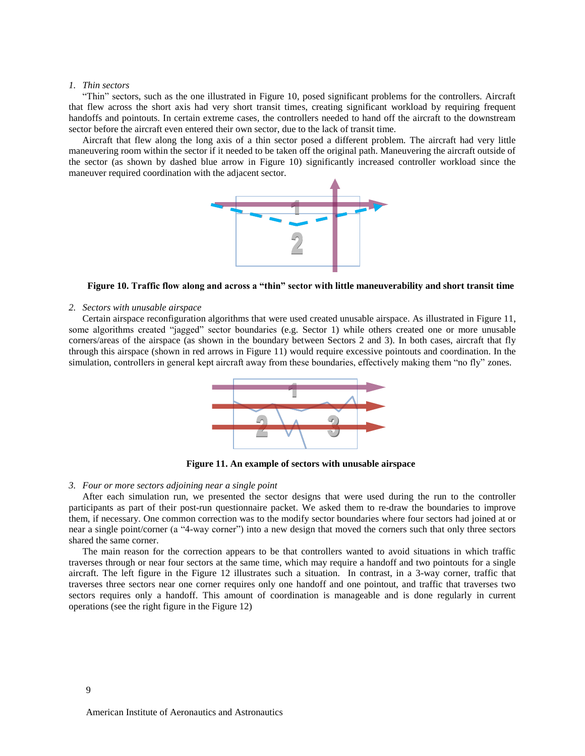### *1. Thin sectors*

"Thin" sectors, such as the one illustrated in Figure 10, posed significant problems for the controllers. Aircraft that flew across the short axis had very short transit times, creating significant workload by requiring frequent handoffs and pointouts. In certain extreme cases, the controllers needed to hand off the aircraft to the downstream sector before the aircraft even entered their own sector, due to the lack of transit time.

Aircraft that flew along the long axis of a thin sector posed a different problem. The aircraft had very little maneuvering room within the sector if it needed to be taken off the original path. Maneuvering the aircraft outside of the sector (as shown by dashed blue arrow in Figure 10) significantly increased controller workload since the maneuver required coordination with the adjacent sector.



**Figure 10. Traffic flow along and across a "thin" sector with little maneuverability and short transit time**

#### *2. Sectors with unusable airspace*

Certain airspace reconfiguration algorithms that were used created unusable airspace. As illustrated in Figure 11, some algorithms created "jagged" sector boundaries (e.g. Sector 1) while others created one or more unusable corners/areas of the airspace (as shown in the boundary between Sectors 2 and 3). In both cases, aircraft that fly through this airspace (shown in red arrows in Figure 11) would require excessive pointouts and coordination. In the simulation, controllers in general kept aircraft away from these boundaries, effectively making them "no fly" zones.



**Figure 11. An example of sectors with unusable airspace**

#### *3. Four or more sectors adjoining near a single point*

After each simulation run, we presented the sector designs that were used during the run to the controller participants as part of their post-run questionnaire packet. We asked them to re-draw the boundaries to improve them, if necessary. One common correction was to the modify sector boundaries where four sectors had joined at or near a single point/corner (a "4-way corner") into a new design that moved the corners such that only three sectors shared the same corner.

The main reason for the correction appears to be that controllers wanted to avoid situations in which traffic traverses through or near four sectors at the same time, which may require a handoff and two pointouts for a single aircraft. The left figure in the Figure 12 illustrates such a situation. In contrast, in a 3-way corner, traffic that traverses three sectors near one corner requires only one handoff and one pointout, and traffic that traverses two sectors requires only a handoff. This amount of coordination is manageable and is done regularly in current operations (see the right figure in the Figure 12)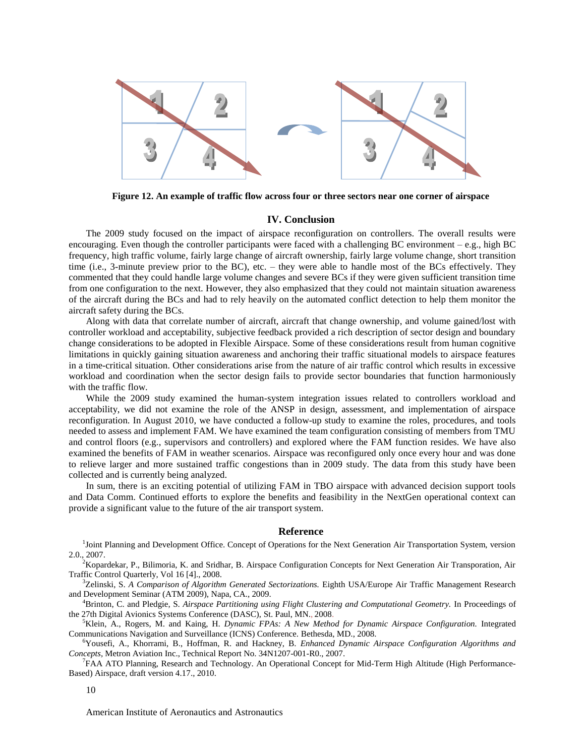

**Figure 12. An example of traffic flow across four or three sectors near one corner of airspace**

# **IV. Conclusion**

The 2009 study focused on the impact of airspace reconfiguration on controllers. The overall results were encouraging. Even though the controller participants were faced with a challenging BC environment  $-e.g.,$  high BC frequency, high traffic volume, fairly large change of aircraft ownership, fairly large volume change, short transition time (i.e., 3-minute preview prior to the BC), etc. – they were able to handle most of the BCs effectively. They commented that they could handle large volume changes and severe BCs if they were given sufficient transition time from one configuration to the next. However, they also emphasized that they could not maintain situation awareness of the aircraft during the BCs and had to rely heavily on the automated conflict detection to help them monitor the aircraft safety during the BCs.

Along with data that correlate number of aircraft, aircraft that change ownership, and volume gained/lost with controller workload and acceptability, subjective feedback provided a rich description of sector design and boundary change considerations to be adopted in Flexible Airspace. Some of these considerations result from human cognitive limitations in quickly gaining situation awareness and anchoring their traffic situational models to airspace features in a time-critical situation. Other considerations arise from the nature of air traffic control which results in excessive workload and coordination when the sector design fails to provide sector boundaries that function harmoniously with the traffic flow.

While the 2009 study examined the human-system integration issues related to controllers workload and acceptability, we did not examine the role of the ANSP in design, assessment, and implementation of airspace reconfiguration. In August 2010, we have conducted a follow-up study to examine the roles, procedures, and tools needed to assess and implement FAM. We have examined the team configuration consisting of members from TMU and control floors (e.g., supervisors and controllers) and explored where the FAM function resides. We have also examined the benefits of FAM in weather scenarios. Airspace was reconfigured only once every hour and was done to relieve larger and more sustained traffic congestions than in 2009 study. The data from this study have been collected and is currently being analyzed.

In sum, there is an exciting potential of utilizing FAM in TBO airspace with advanced decision support tools and Data Comm. Continued efforts to explore the benefits and feasibility in the NextGen operational context can provide a significant value to the future of the air transport system.

#### **Reference**

<sup>1</sup>Joint Planning and Development Office. Concept of Operations for the Next Generation Air Transportation System, version 2.0., 2007.

<sup>2</sup>Kopardekar, P., Bilimoria, K. and Sridhar, B. Airspace Configuration Concepts for Next Generation Air Transporation, Air Traffic Control Quarterly, Vol 16 [4]., 2008.

<sup>3</sup>Zelinski, S. *A Comparison of Algorithm Generated Sectorizations.* Eighth USA/Europe Air Traffic Management Research and Development Seminar (ATM 2009), Napa, CA., 2009.

<sup>4</sup>Brinton, C. and Pledgie, S. *Airspace Partitioning using Flight Clustering and Computational Geometry.* In Proceedings of the 27th Digital Avionics Systems Conference (DASC), St. Paul, MN., 2008.

<sup>5</sup>Klein, A., Rogers, M. and Kaing, H. *Dynamic FPAs: A New Method for Dynamic Airspace Configuration.* Integrated Communications Navigation and Surveillance (ICNS) Conference. Bethesda, MD., 2008.

<sup>6</sup>Yousefi, A., Khorrami, B., Hoffman, R. and Hackney, B. *Enhanced Dynamic Airspace Configuration Algorithms and Concepts,* Metron Aviation Inc., Technical Report No. 34N1207-001-R0., 2007.

<sup>7</sup>FAA ATO Planning, Research and Technology. An Operational Concept for Mid-Term High Altitude (High Performance-Based) Airspace, draft version 4.17., 2010.

10